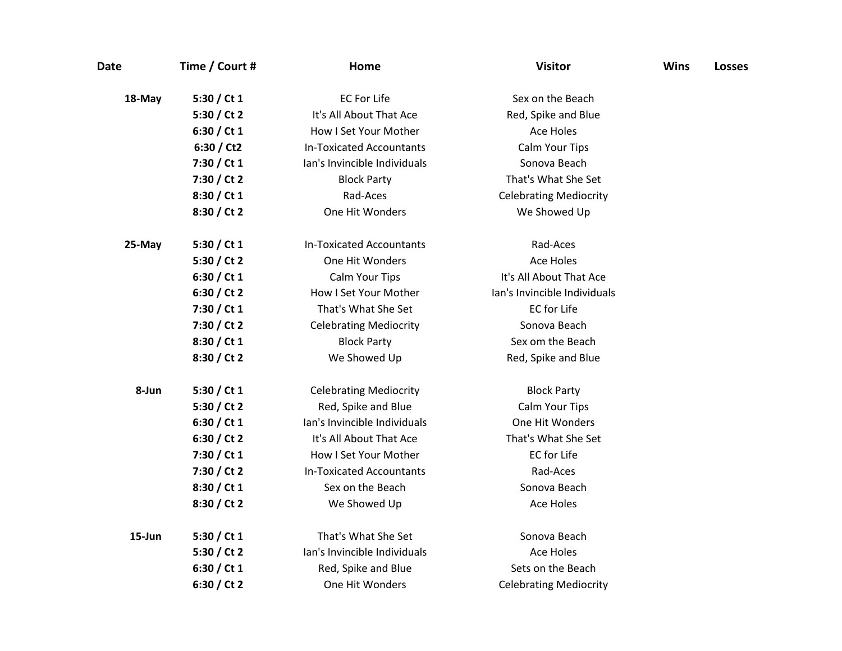| <b>Date</b> | Time / Court # | Home                            | <b>Visitor</b>                | <b>Wins</b> | <b>Losses</b> |
|-------------|----------------|---------------------------------|-------------------------------|-------------|---------------|
| 18-May      | 5:30 / Ct 1    | <b>EC For Life</b>              | Sex on the Beach              |             |               |
|             | 5:30 / Ct 2    | It's All About That Ace         | Red, Spike and Blue           |             |               |
|             | 6:30 / Ct $1$  | How I Set Your Mother           | Ace Holes                     |             |               |
|             | 6:30 / Ct2     | <b>In-Toxicated Accountants</b> | Calm Your Tips                |             |               |
|             | 7:30 / Ct 1    | Ian's Invincible Individuals    | Sonova Beach                  |             |               |
|             | 7:30 / Ct 2    | <b>Block Party</b>              | That's What She Set           |             |               |
|             | 8:30 / Ct 1    | Rad-Aces                        | <b>Celebrating Mediocrity</b> |             |               |
|             | 8:30 / Ct 2    | One Hit Wonders                 | We Showed Up                  |             |               |
| 25-May      | 5:30 / Ct $1$  | <b>In-Toxicated Accountants</b> | Rad-Aces                      |             |               |
|             | 5:30 / Ct 2    | One Hit Wonders                 | <b>Ace Holes</b>              |             |               |
|             | 6:30 / Ct 1    | Calm Your Tips                  | It's All About That Ace       |             |               |
|             | 6:30 / Ct 2    | How I Set Your Mother           | lan's Invincible Individuals  |             |               |
|             | 7:30 / Ct 1    | That's What She Set             | <b>EC</b> for Life            |             |               |
|             | 7:30 / Ct 2    | <b>Celebrating Mediocrity</b>   | Sonova Beach                  |             |               |
|             | 8:30 / Ct 1    | <b>Block Party</b>              | Sex om the Beach              |             |               |
|             | 8:30 / Ct 2    | We Showed Up                    | Red, Spike and Blue           |             |               |
| 8-Jun       | 5:30 / Ct 1    | <b>Celebrating Mediocrity</b>   | <b>Block Party</b>            |             |               |
|             | 5:30 / Ct 2    | Red, Spike and Blue             | Calm Your Tips                |             |               |
|             | 6:30 / Ct $1$  | Ian's Invincible Individuals    | One Hit Wonders               |             |               |
|             | 6:30 / Ct 2    | It's All About That Ace         | That's What She Set           |             |               |
|             | 7:30 / Ct 1    | How I Set Your Mother           | <b>EC</b> for Life            |             |               |
|             | 7:30 / Ct 2    | <b>In-Toxicated Accountants</b> | Rad-Aces                      |             |               |
|             | 8:30 / Ct 1    | Sex on the Beach                | Sonova Beach                  |             |               |
|             | 8:30 / Ct 2    | We Showed Up                    | <b>Ace Holes</b>              |             |               |
| 15-Jun      | 5:30 / Ct 1    | That's What She Set             | Sonova Beach                  |             |               |
|             | 5:30 / Ct 2    | Ian's Invincible Individuals    | <b>Ace Holes</b>              |             |               |
|             | 6:30 / Ct $1$  | Red, Spike and Blue             | Sets on the Beach             |             |               |
|             | 6:30 / Ct 2    | One Hit Wonders                 | <b>Celebrating Mediocrity</b> |             |               |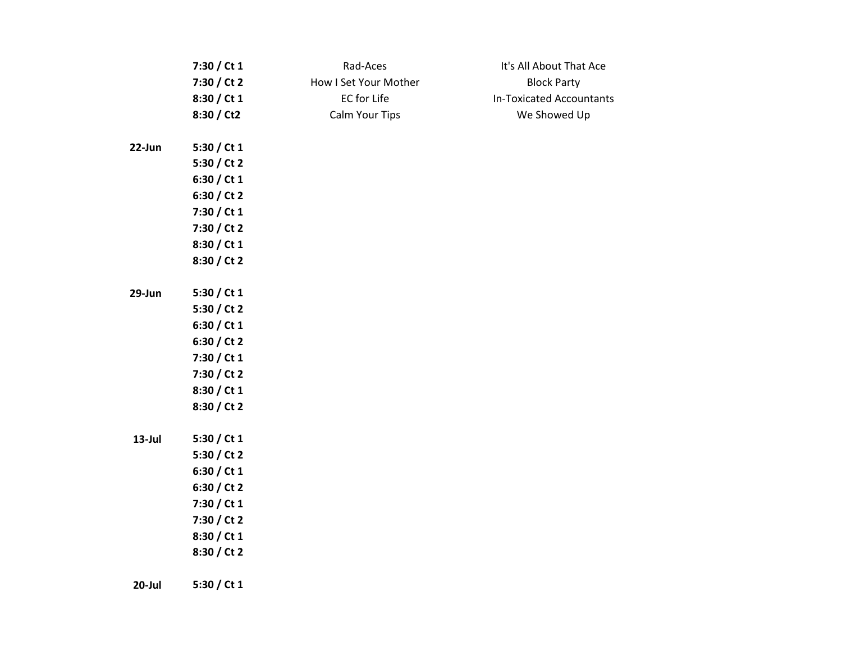|           | 7:30 / Ct 1   | Rad-Aces              | It's All About That Ace         |
|-----------|---------------|-----------------------|---------------------------------|
|           | 7:30 / Ct 2   | How I Set Your Mother | <b>Block Party</b>              |
|           | 8:30 / Ct 1   | EC for Life           | <b>In-Toxicated Accountants</b> |
|           | 8:30 / Ct2    | Calm Your Tips        | We Showed Up                    |
| 22-Jun    | 5:30 / Ct 1   |                       |                                 |
|           | 5:30 / Ct 2   |                       |                                 |
|           | 6:30 / Ct $1$ |                       |                                 |
|           | 6:30 / Ct 2   |                       |                                 |
|           | 7:30 / Ct 1   |                       |                                 |
|           | 7:30 / Ct 2   |                       |                                 |
|           | 8:30 / Ct 1   |                       |                                 |
|           | 8:30 / Ct 2   |                       |                                 |
| 29-Jun    | 5:30 / Ct $1$ |                       |                                 |
|           | 5:30 / Ct 2   |                       |                                 |
|           | 6:30 / Ct 1   |                       |                                 |
|           | 6:30 / Ct 2   |                       |                                 |
|           | 7:30 / Ct 1   |                       |                                 |
|           | 7:30 / Ct 2   |                       |                                 |
|           | 8:30 / Ct 1   |                       |                                 |
|           | 8:30 / Ct 2   |                       |                                 |
| $13$ -Jul | 5:30 / Ct 1   |                       |                                 |
|           | 5:30 / Ct 2   |                       |                                 |
|           | 6:30 / Ct 1   |                       |                                 |
|           | 6:30 / Ct 2   |                       |                                 |
|           | 7:30 / Ct 1   |                       |                                 |
|           | 7:30 / Ct 2   |                       |                                 |
|           | 8:30 / Ct 1   |                       |                                 |
|           | 8:30 / Ct 2   |                       |                                 |
| $20$ -Jul | 5:30 / Ct 1   |                       |                                 |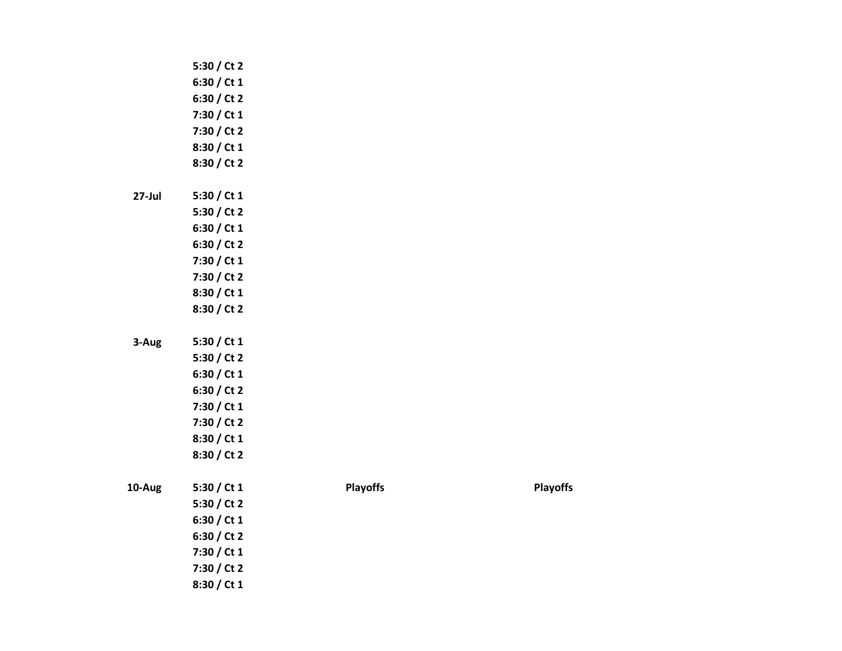|           | 5:30 / Ct 2 |                 |                 |
|-----------|-------------|-----------------|-----------------|
|           | 6:30 / Ct 1 |                 |                 |
|           | 6:30 / Ct 2 |                 |                 |
|           | 7:30 / Ct 1 |                 |                 |
|           | 7:30 / Ct 2 |                 |                 |
|           | 8:30 / Ct 1 |                 |                 |
|           | 8:30 / Ct 2 |                 |                 |
|           |             |                 |                 |
| $27$ -Jul | 5:30 / Ct 1 |                 |                 |
|           | 5:30 / Ct 2 |                 |                 |
|           | 6:30 / Ct 1 |                 |                 |
|           | 6:30 / Ct 2 |                 |                 |
|           | 7:30 / Ct 1 |                 |                 |
|           | 7:30 / Ct 2 |                 |                 |
|           | 8:30 / Ct 1 |                 |                 |
|           | 8:30 / Ct 2 |                 |                 |
|           |             |                 |                 |
| 3-Aug     | 5:30 / Ct 1 |                 |                 |
|           | 5:30 / Ct 2 |                 |                 |
|           | 6:30 / Ct 1 |                 |                 |
|           | 6:30 / Ct 2 |                 |                 |
|           | 7:30 / Ct 1 |                 |                 |
|           | 7:30 / Ct 2 |                 |                 |
|           | 8:30 / Ct 1 |                 |                 |
|           | 8:30 / Ct 2 |                 |                 |
|           |             |                 |                 |
| 10-Aug    | 5:30 / Ct 1 | <b>Playoffs</b> | <b>Playoffs</b> |
|           | 5:30 / Ct 2 |                 |                 |
|           | 6:30 / Ct 1 |                 |                 |
|           | 6:30 / Ct 2 |                 |                 |
|           | 7:30 / Ct 1 |                 |                 |
|           | 7:30 / Ct 2 |                 |                 |
|           | 8:30 / Ct 1 |                 |                 |